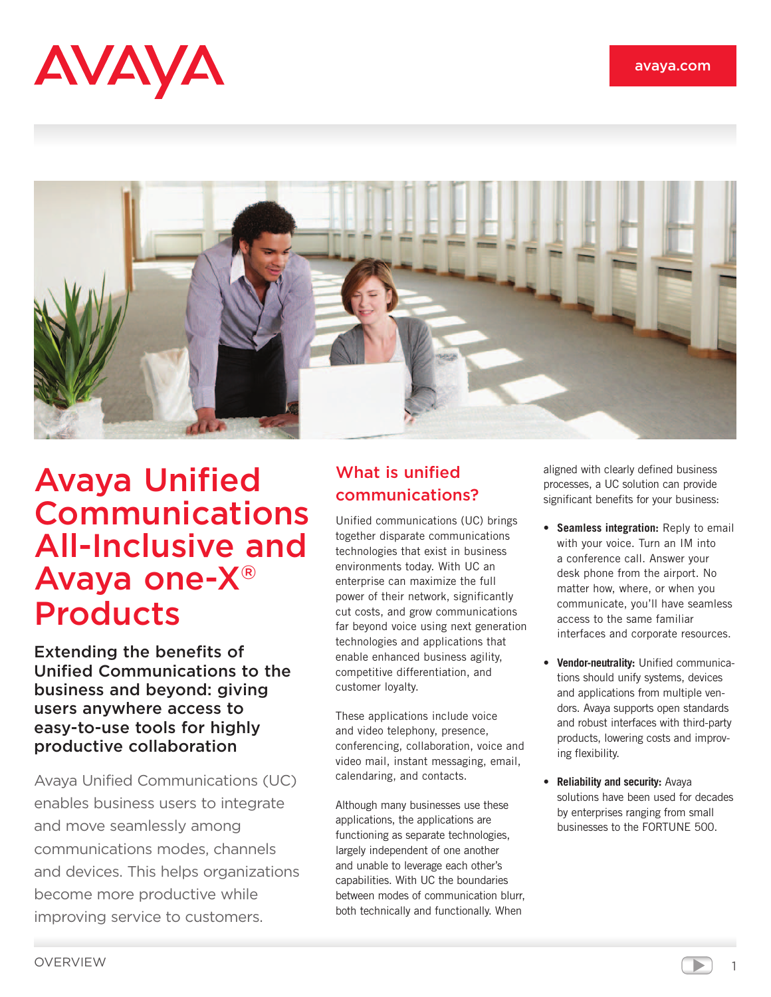



# Avaya Unified Communications All-Inclusive and Avaya one-X® Products

Extending the benefits of Unified Communications to the business and beyond: giving users anywhere access to easy-to-use tools for highly productive collaboration

Avaya Unified Communications (UC) enables business users to integrate and move seamlessly among communications modes, channels and devices. This helps organizations become more productive while improving service to customers.

# What is unified communications?

Unified communications (UC) brings together disparate communications technologies that exist in business environments today. With UC an enterprise can maximize the full power of their network, significantly cut costs, and grow communications far beyond voice using next generation technologies and applications that enable enhanced business agility, competitive differentiation, and customer loyalty.

These applications include voice and video telephony, presence, conferencing, collaboration, voice and video mail, instant messaging, email, calendaring, and contacts.

Although many businesses use these applications, the applications are functioning as separate technologies, largely independent of one another and unable to leverage each other's capabilities. With UC the boundaries between modes of communication blurr, both technically and functionally. When

aligned with clearly defined business processes, a UC solution can provide significant benefits for your business:

- • **Seamless integration:** Reply to email with your voice. Turn an IM into a conference call. Answer your desk phone from the airport. No matter how, where, or when you communicate, you'll have seamless access to the same familiar interfaces and corporate resources.
- • **Vendor-neutrality:** Unified communications should unify systems, devices and applications from multiple vendors. Avaya supports open standards and robust interfaces with third-party products, lowering costs and improving flexibility.
- • **Reliability and security:** Avaya solutions have been used for decades by enterprises ranging from small businesses to the FORTUNE 500.

1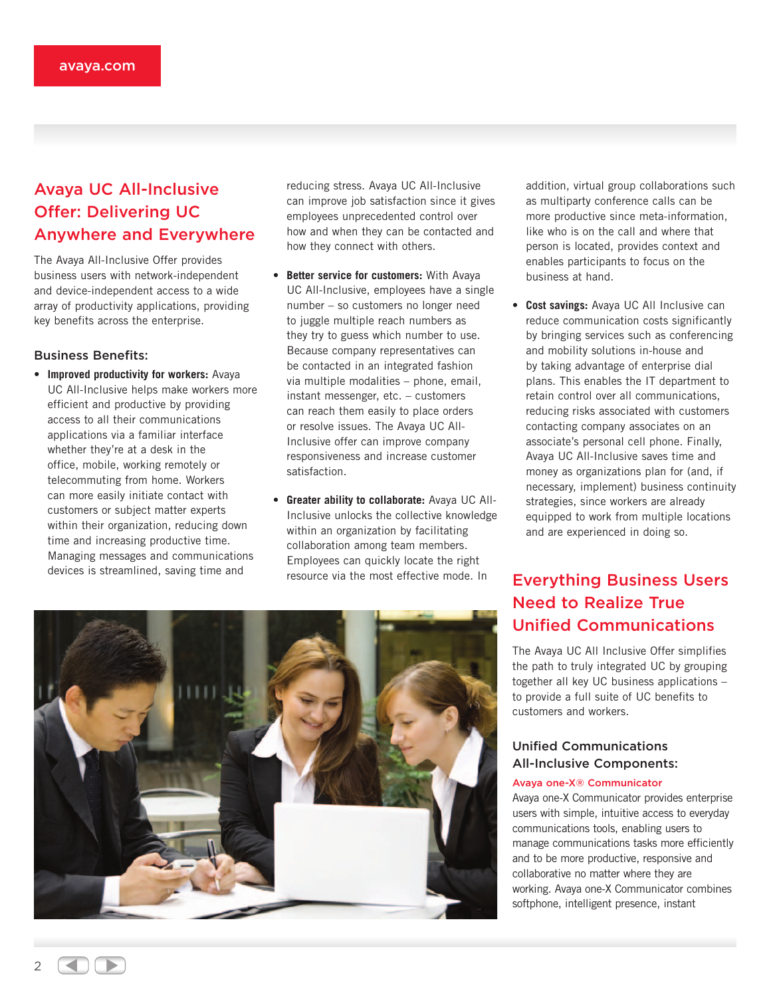# Avaya UC All-Inclusive Offer: Delivering UC Anywhere and Everywhere

The Avaya All-Inclusive Offer provides business users with network-independent and device-independent access to a wide array of productivity applications, providing key benefits across the enterprise.

# Business Benefits:

• **Improved productivity for workers:** Avaya UC All-Inclusive helps make workers more efficient and productive by providing access to all their communications applications via a familiar interface whether they're at a desk in the office, mobile, working remotely or telecommuting from home. Workers can more easily initiate contact with customers or subject matter experts within their organization, reducing down time and increasing productive time. Managing messages and communications devices is streamlined, saving time and

reducing stress. Avaya UC All-Inclusive can improve job satisfaction since it gives employees unprecedented control over how and when they can be contacted and how they connect with others.

- • **Better service for customers:** With Avaya UC All-Inclusive, employees have a single number – so customers no longer need to juggle multiple reach numbers as they try to guess which number to use. Because company representatives can be contacted in an integrated fashion via multiple modalities – phone, email, instant messenger, etc. – customers can reach them easily to place orders or resolve issues. The Avaya UC All-Inclusive offer can improve company responsiveness and increase customer satisfaction.
- • **Greater ability to collaborate:** Avaya UC All-Inclusive unlocks the collective knowledge within an organization by facilitating collaboration among team members. Employees can quickly locate the right resource via the most effective mode. In

addition, virtual group collaborations such as multiparty conference calls can be more productive since meta-information, like who is on the call and where that person is located, provides context and enables participants to focus on the business at hand.

• **Cost savings:** Avaya UC All Inclusive can reduce communication costs significantly by bringing services such as conferencing and mobility solutions in-house and by taking advantage of enterprise dial plans. This enables the IT department to retain control over all communications, reducing risks associated with customers contacting company associates on an associate's personal cell phone. Finally, Avaya UC All-Inclusive saves time and money as organizations plan for (and, if necessary, implement) business continuity strategies, since workers are already equipped to work from multiple locations and are experienced in doing so.

# Everything Business Users Need to Realize True Unified Communications

The Avaya UC All Inclusive Offer simplifies the path to truly integrated UC by grouping together all key UC business applications – to provide a full suite of UC benefits to customers and workers.

# Unified Communications All-Inclusive Components:

#### Avaya one-X® Communicator

Avaya one-X Communicator provides enterprise users with simple, intuitive access to everyday communications tools, enabling users to manage communications tasks more efficiently and to be more productive, responsive and collaborative no matter where they are working. Avaya one-X Communicator combines softphone, intelligent presence, instant



 $\overline{2}$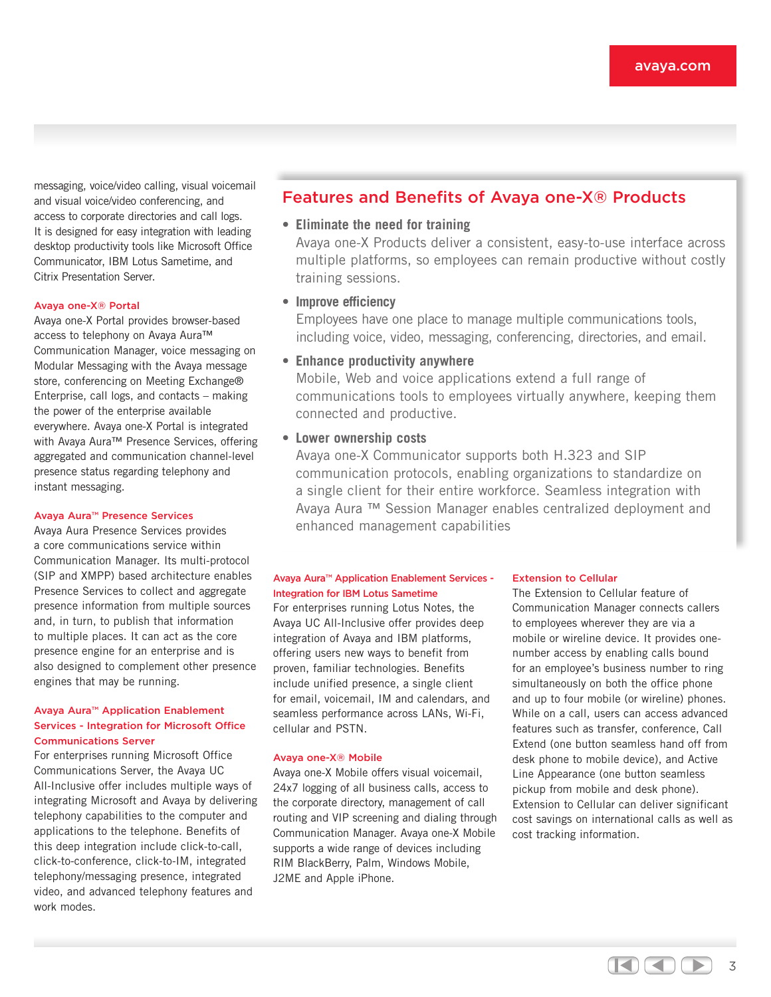messaging, voice/video calling, visual voicemail and visual voice/video conferencing, and access to corporate directories and call logs. It is designed for easy integration with leading desktop productivity tools like Microsoft Office Communicator, IBM Lotus Sametime, and Citrix Presentation Server.

#### Avaya one-X® Portal

Avaya one-X Portal provides browser-based access to telephony on Avaya Aura™ Communication Manager, voice messaging on Modular Messaging with the Avaya message store, conferencing on Meeting Exchange® Enterprise, call logs, and contacts – making the power of the enterprise available everywhere. Avaya one-X Portal is integrated with Avaya Aura™ Presence Services, offering aggregated and communication channel-level presence status regarding telephony and instant messaging.

#### Avaya Aura™ Presence Services

Avaya Aura Presence Services provides a core communications service within Communication Manager. Its multi-protocol (SIP and XMPP) based architecture enables Presence Services to collect and aggregate presence information from multiple sources and, in turn, to publish that information to multiple places. It can act as the core presence engine for an enterprise and is also designed to complement other presence engines that may be running.

## Avaya Aura™ Application Enablement Services - Integration for Microsoft Office Communications Server

For enterprises running Microsoft Office Communications Server, the Avaya UC All-Inclusive offer includes multiple ways of integrating Microsoft and Avaya by delivering telephony capabilities to the computer and applications to the telephone. Benefits of this deep integration include click-to-call, click-to-conference, click-to-IM, integrated telephony/messaging presence, integrated video, and advanced telephony features and work modes.

# Features and Benefits of Avaya one-X® Products

# • **Eliminate the need for training**

Avaya one-X Products deliver a consistent, easy-to-use interface across multiple platforms, so employees can remain productive without costly training sessions.

# • **Improve efficiency**

Employees have one place to manage multiple communications tools, including voice, video, messaging, conferencing, directories, and email.

# • **Enhance productivity anywhere**

Mobile, Web and voice applications extend a full range of communications tools to employees virtually anywhere, keeping them connected and productive.

# • **Lower ownership costs**

Avaya one-X Communicator supports both H.323 and SIP communication protocols, enabling organizations to standardize on a single client for their entire workforce. Seamless integration with Avaya Aura ™ Session Manager enables centralized deployment and enhanced management capabilities

# Avaya Aura™ Application Enablement Services - Integration for IBM Lotus Sametime

For enterprises running Lotus Notes, the Avaya UC All-Inclusive offer provides deep integration of Avaya and IBM platforms, offering users new ways to benefit from proven, familiar technologies. Benefits include unified presence, a single client for email, voicemail, IM and calendars, and seamless performance across LANs, Wi-Fi, cellular and PSTN.

#### Avaya one-X® Mobile

Avaya one-X Mobile offers visual voicemail, 24x7 logging of all business calls, access to the corporate directory, management of call routing and VIP screening and dialing through Communication Manager. Avaya one-X Mobile supports a wide range of devices including RIM BlackBerry, Palm, Windows Mobile, J2ME and Apple iPhone.

#### Extension to Cellular

The Extension to Cellular feature of Communication Manager connects callers to employees wherever they are via a mobile or wireline device. It provides onenumber access by enabling calls bound for an employee's business number to ring simultaneously on both the office phone and up to four mobile (or wireline) phones. While on a call, users can access advanced features such as transfer, conference, Call Extend (one button seamless hand off from desk phone to mobile device), and Active Line Appearance (one button seamless pickup from mobile and desk phone). Extension to Cellular can deliver significant cost savings on international calls as well as cost tracking information.

> $\left(\left|\right| \right) \left(\right|$ 3